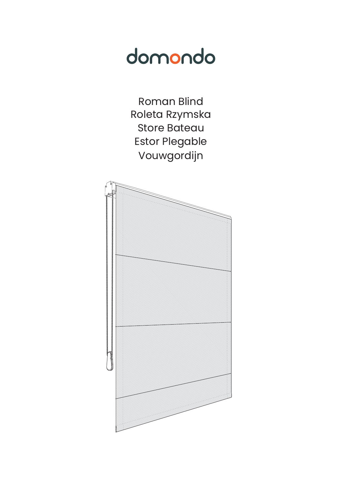# domondo

**Roman Blind** Roleta Rzymska **Store Bateau Estor Plegable** Vouwgordijn

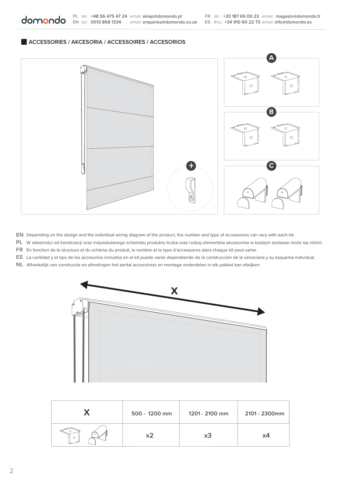#### **ACCESSORIES / AKCESORIA / ACCESSOIRES / ACCESORIOS**

domondo



**EN** Depending on the design and the individual wiring diagram of the product, the number and type of accessories can vary with each kit.

**PL** W zależności od konstrukcji oraz indywidulanego schematu produktu liczba oraz rodzaj elementów akcesoriów w każdym zestawie może się różnić.

**FR** En fonction de la structure et du schéma du produit, le nombre et le type d'accessoires dans chaque kit peut varier.

**ES** La cantidad y el tipo de los accesorios incluidos en el kit puede variar dependiendo de la construcción de la veneciana y su esquema individual.

NL Afhankelijk van constructie en afmetingen het aantal accesoiress en montage onderdelen in elk pakket kan afwijken.



|         | 500 - 1200 mm | 1201 - 2100 mm | 2101 - 2300mm |
|---------|---------------|----------------|---------------|
| $\circ$ |               | xЗ             | x4            |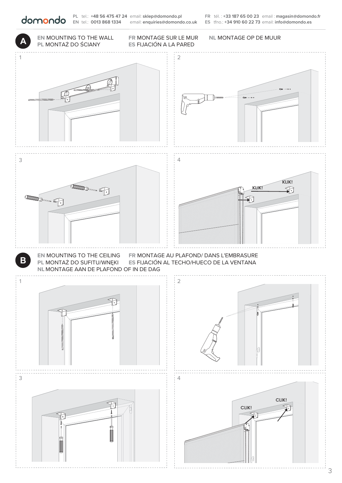**EN** tel.: **0013 868 1334** email: **enquiries@domondo.co.uk ES** tfno.: **+34 910 60 22 73** email: **info@domondo.es PL** tel.: **+48 56 475 47 24** email: **sklep@domondo.pl FR** tél. : **+33 187 65 00 23** email : **magasin@domondo.fr**

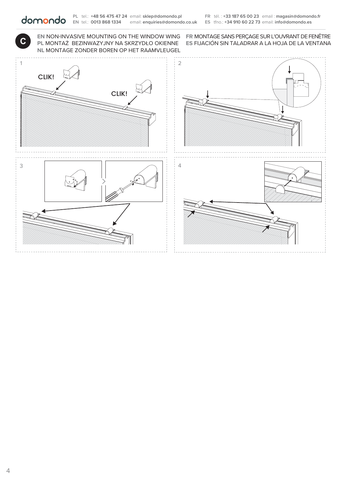EN NON-INVASIVE MOUNTING ON THE WINDOW WING FR MONTAGE SANS PERÇAGE SUR L'OUVRANT DE FENÊTRE **NL** MONTAGE ZONDER BOREN OP HET RAAMVLEUGEL

**CONTRESS EN NON-INVASIVE MOUNTING ON THE WINDOW WING FR MONTAGE SANS PERÇAGE SUR L'OUVRANT DE FENÊTRE<br>PL MONTAŻ BEZINWAZYJNY NA SKRZYDŁO OKIENNE ES FIJACIÓN SIN TALADRAR A LA HOJA DE LA VENTANA**